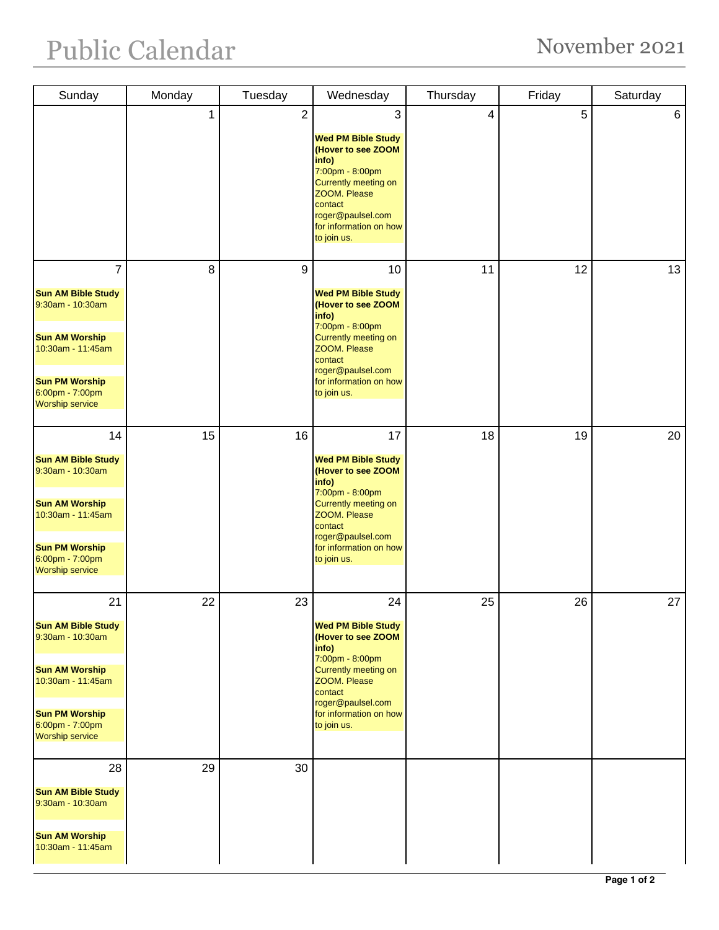| Sunday                                                                                                                                                                              | Monday       | Tuesday        | Wednesday                                                                                                                                                                                                 | Thursday | Friday | Saturday |
|-------------------------------------------------------------------------------------------------------------------------------------------------------------------------------------|--------------|----------------|-----------------------------------------------------------------------------------------------------------------------------------------------------------------------------------------------------------|----------|--------|----------|
|                                                                                                                                                                                     | $\mathbf{1}$ | $\overline{2}$ | 3<br><b>Wed PM Bible Study</b><br>(Hover to see ZOOM<br>info)<br>7:00pm - 8:00pm<br>Currently meeting on<br>ZOOM. Please<br>contact<br>roger@paulsel.com<br>for information on how<br>to join us.         | 4        | 5      | 6        |
| $\overline{7}$<br><b>Sun AM Bible Study</b><br>9:30am - 10:30am<br><b>Sun AM Worship</b><br>10:30am - 11:45am<br><b>Sun PM Worship</b><br>6:00pm - 7:00pm<br><b>Worship service</b> | 8            | 9              | 10<br><b>Wed PM Bible Study</b><br>(Hover to see ZOOM<br>info)<br>7:00pm - 8:00pm<br>Currently meeting on<br>ZOOM. Please<br>contact<br>roger@paulsel.com<br>for information on how<br>to join us.        | 11       | 12     | 13       |
| 14<br><b>Sun AM Bible Study</b><br>9:30am - 10:30am<br><b>Sun AM Worship</b><br>10:30am - 11:45am<br><b>Sun PM Worship</b><br>6:00pm - 7:00pm<br><b>Worship service</b>             | 15           | 16             | 17<br><b>Wed PM Bible Study</b><br>(Hover to see ZOOM<br>info)<br>7:00pm - 8:00pm<br><b>Currently meeting on</b><br>ZOOM. Please<br>contact<br>roger@paulsel.com<br>for information on how<br>to join us. | 18       | 19     | 20       |
| 21<br><b>Sun AM Bible Study</b><br>9:30am - 10:30am<br><b>Sun AM Worship</b><br>10:30am - 11:45am<br><b>Sun PM Worship</b><br>6:00pm - 7:00pm<br><b>Worship service</b>             | 22           | 23             | 24<br><b>Wed PM Bible Study</b><br>(Hover to see ZOOM<br>info)<br>7:00pm - 8:00pm<br>Currently meeting on<br>ZOOM. Please<br>contact<br>roger@paulsel.com<br>for information on how<br>to join us.        | 25       | 26     | 27       |
| 28<br><b>Sun AM Bible Study</b><br>9:30am - 10:30am<br><b>Sun AM Worship</b><br>10:30am - 11:45am                                                                                   | 29           | 30             |                                                                                                                                                                                                           |          |        |          |